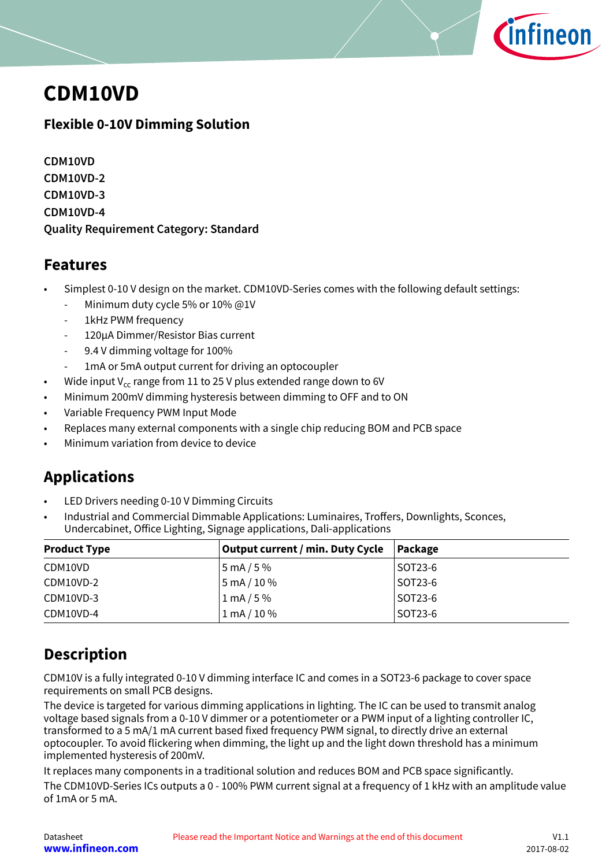

## <span id="page-0-0"></span>**CDM10VD**

### **Flexible 0-10V Dimming Solution**

**CDM10VD CDM10VD-2 CDM10VD-3 CDM10VD-4 Quality Requirement Category: Standard**

### **Features**

- Simplest 0-10 V design on the market. CDM10VD-Series comes with the following default settings:
	- Minimum duty cycle 5% or 10% @1V
	- 1kHz PWM frequency
	- 120μA Dimmer/Resistor Bias current
	- 9.4 V dimming voltage for 100%
	- 1mA or 5mA output current for driving an optocoupler
- Wide input  $V_{cc}$  range from 11 to 25 V plus extended range down to 6V
- Minimum 200mV dimming hysteresis between dimming to OFF and to ON
- Variable Frequency PWM Input Mode
- Replaces many external components with a single chip reducing BOM and PCB space
- Minimum variation from device to device

### **Applications**

- LED Drivers needing 0-10 V Dimming Circuits
- Industrial and Commercial Dimmable Applications: Luminaires, Troffers, Downlights, Sconces, Undercabinet, Office Lighting, Signage applications, Dali-applications

| <b>Product Type</b> | <b>Output current / min. Duty Cycle</b> | Package |
|---------------------|-----------------------------------------|---------|
| CDM10VD             | 5 mA / 5 %                              | SOT23-6 |
| CDM10VD-2           | $5 \text{ mA} / 10 \%$                  | SOT23-6 |
| CDM10VD-3           | $1 \text{ mA} / 5 \%$                   | SOT23-6 |
| CDM10VD-4           | $1 \text{ mA} / 10 \%$                  | SOT23-6 |

### **Description**

CDM10V is a fully integrated 0-10 V dimming interface IC and comes in a SOT23-6 package to cover space requirements on small PCB designs.

The device is targeted for various dimming applications in lighting. The IC can be used to transmit analog voltage based signals from a 0-10 V dimmer or a potentiometer or a PWM input of a lighting controller IC, transformed to a 5 mA/1 mA current based fixed frequency PWM signal, to directly drive an external optocoupler. To avoid flickering when dimming, the light up and the light down threshold has a minimum implemented hysteresis of 200mV.

It replaces many components in a traditional solution and reduces BOM and PCB space significantly.

The CDM10VD-Series ICs outputs a 0 - 100% PWM current signal at a frequency of 1 kHz with an amplitude value of 1mA or 5 mA.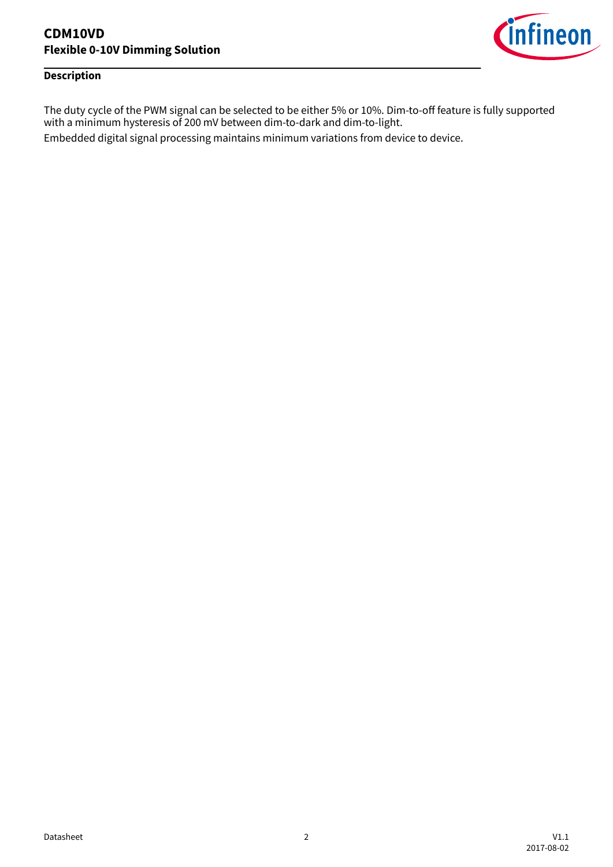

### **Description**

The duty cycle of the PWM signal can be selected to be either 5% or 10%. Dim-to-off feature is fully supported with a minimum hysteresis of 200 mV between dim-to-dark and dim-to-light.

Embedded digital signal processing maintains minimum variations from device to device.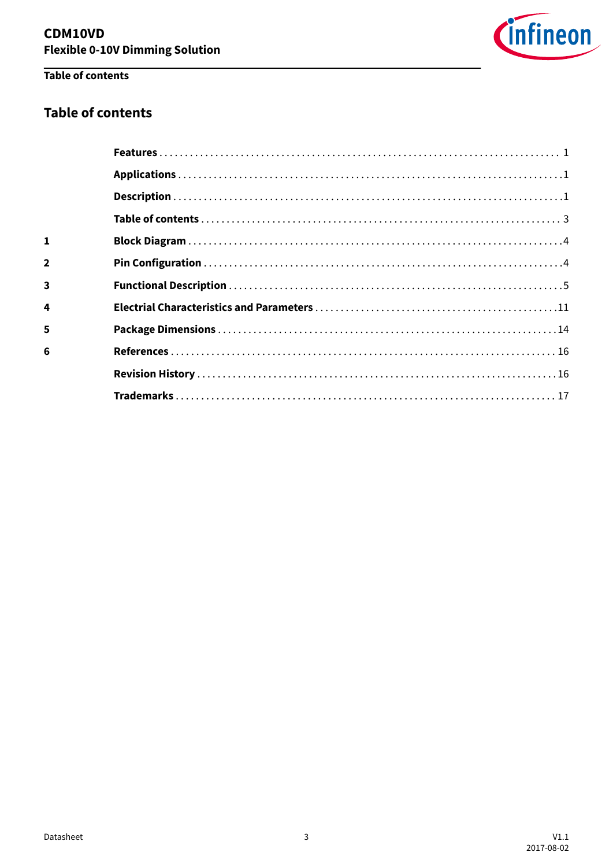

### Table of contents

### **Table of contents**

| 5 |  |
|---|--|
|   |  |
|   |  |
|   |  |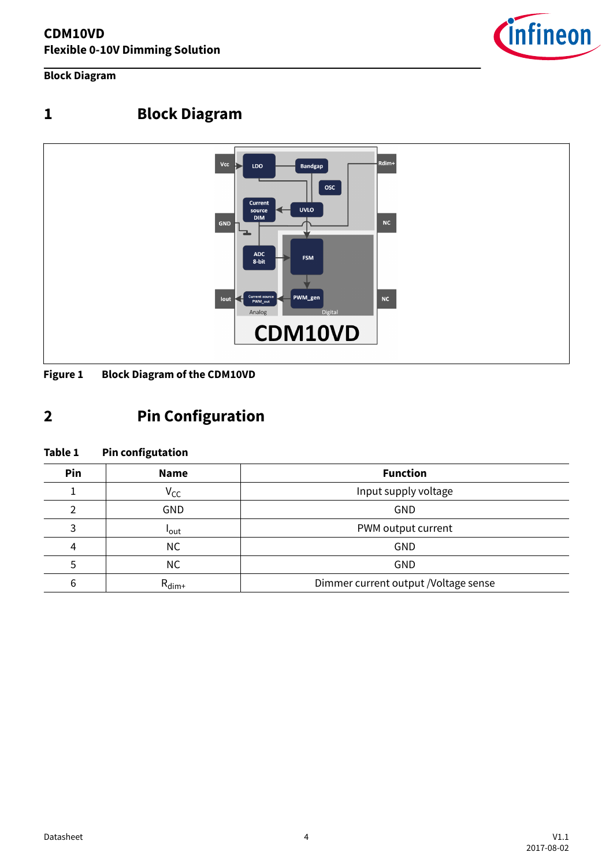

<span id="page-3-0"></span>**Block Diagram**

### **1 Block Diagram**



**Figure 1 Block Diagram of the CDM10VD**

### **2 Pin Configuration**

### **Table 1 Pin configutation**

| Pin | <b>Name</b>       | <b>Function</b>                      |
|-----|-------------------|--------------------------------------|
|     | V <sub>CC</sub>   | Input supply voltage                 |
|     | <b>GND</b>        | GND                                  |
| 3   | <b>l</b> out      | PWM output current                   |
| 4   | <b>NC</b>         | GND                                  |
|     | <b>NC</b>         | GND                                  |
| 6   | $R_{\text{dim}+}$ | Dimmer current output /Voltage sense |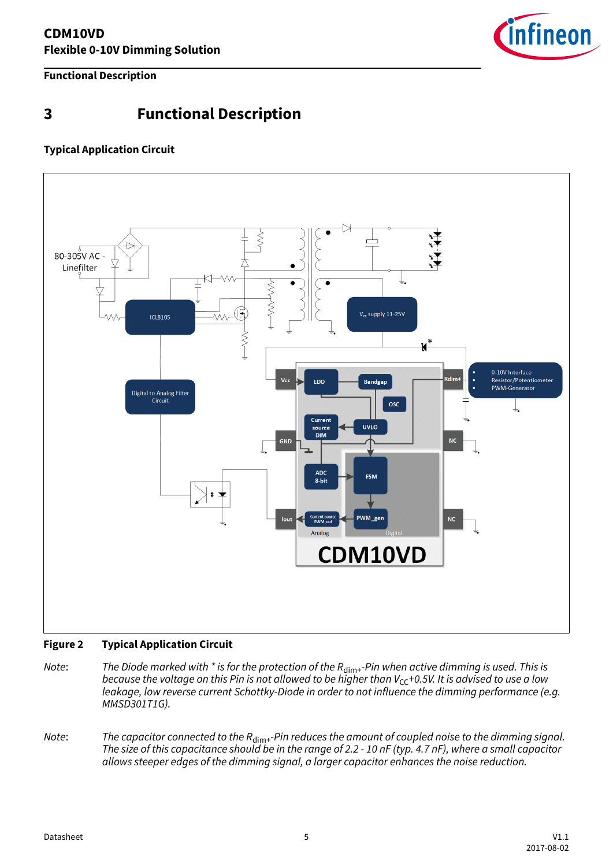

### <span id="page-4-0"></span>**3 Functional Description**

### **Typical Application Circuit**



### **Figure 2 Typical Application Circuit**

- Note: The Diode marked with  $*$  is for the protection of the  $R_{\text{dim}+}$ -Pin when active dimming is used. This is because the voltage on this Pin is not allowed to be higher than  $V_{CC}$ +0.5V. It is advised to use a low leakage, low reverse current Schottky-Diode in order to not influence the dimming performance (e.g. MMSD301T1G).
- Note: The capacitor connected to the  $R_{\text{dim}+}$ -Pin reduces the amount of coupled noise to the dimming signal. The size of this capacitance should be in the range of 2.2 - 10 nF (typ. 4.7 nF), where a small capacitor allows steeper edges of the dimming signal, a larger capacitor enhances the noise reduction.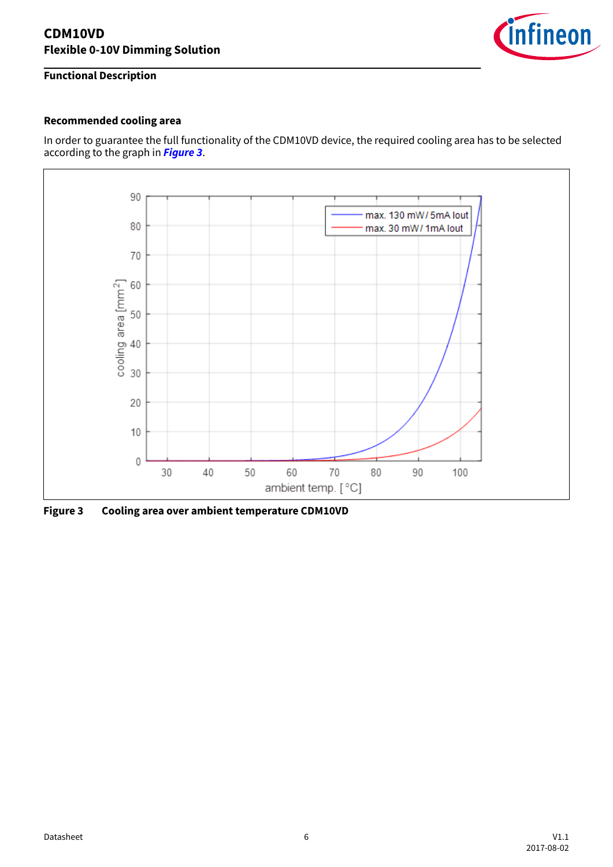

### **Recommended cooling area**

In order to guarantee the full functionality of the CDM10VD device, the required cooling area has to be selected according to the graph in **Figure 3**.



**Figure 3 Cooling area over ambient temperature CDM10VD**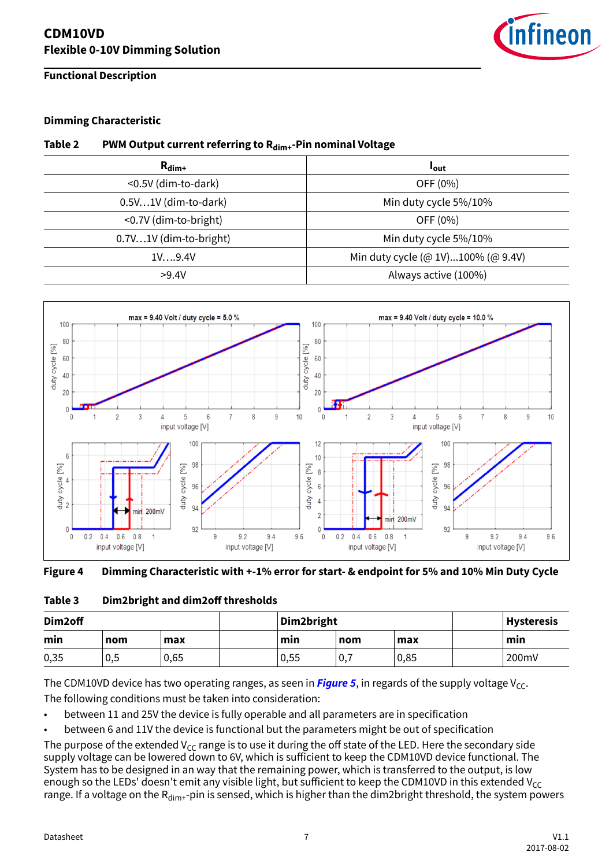

#### **Dimming Characteristic**

#### **Table 2 PWM Output current referring to Rdim+-Pin nominal Voltage**

| $R_{\text{dim}+}$      | <b>l</b> out                       |
|------------------------|------------------------------------|
| <0.5V (dim-to-dark)    | OFF (0%)                           |
| 0.5V1V (dim-to-dark)   | Min duty cycle 5%/10%              |
| <0.7V (dim-to-bright)  | OFF (0%)                           |
| 0.7V1V (dim-to-bright) | Min duty cycle 5%/10%              |
| 1V9.4V                 | Min duty cycle (@ 1V)100% (@ 9.4V) |
| >9.4V                  | Always active (100%)               |



#### **Figure 4 Dimming Characteristic with +-1% error for start- & endpoint for 5% and 10% Min Duty Cycle**

#### Table 3 Dim2bright and dim2off thresholds

| Dim2off |     | Dim2bright |      |            | <b>Hysteresis</b> |       |
|---------|-----|------------|------|------------|-------------------|-------|
| min     | nom | max        | min  | max<br>nom |                   | min   |
| 0,35    | 0,5 | 0,65       | 0,55 | υ,         | 0,85              | 200mV |

The CDM10VD device has two operating ranges, as seen in **[Figure 5](#page-7-0)**, in regards of the supply voltage  $V_{CC}$ . The following conditions must be taken into consideration:

• between 11 and 25V the device is fully operable and all parameters are in specification

• between 6 and 11V the device is functional but the parameters might be out of specification

The purpose of the extended  $V_{CC}$  range is to use it during the off state of the LED. Here the secondary side supply voltage can be lowered down to 6V, which is sufficient to keep the CDM10VD device functional. The System has to be designed in an way that the remaining power, which is transferred to the output, is low enough so the LEDs' doesn't emit any visible light, but sufficient to keep the CDM10VD in this extended V<sub>CC</sub> range. If a voltage on the  $R_{dim+}$ -pin is sensed, which is higher than the dim2bright threshold, the system powers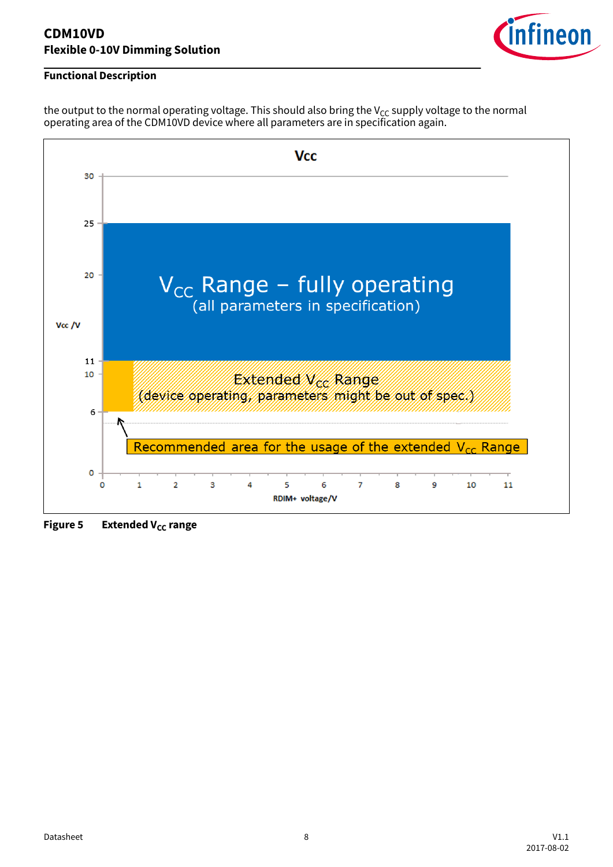

### <span id="page-7-0"></span>**Functional Description**

the output to the normal operating voltage. This should also bring the  $V_{CC}$  supply voltage to the normal operating area of the CDM10VD device where all parameters are in specification again.



**Figure 5** Extended V<sub>CC</sub> range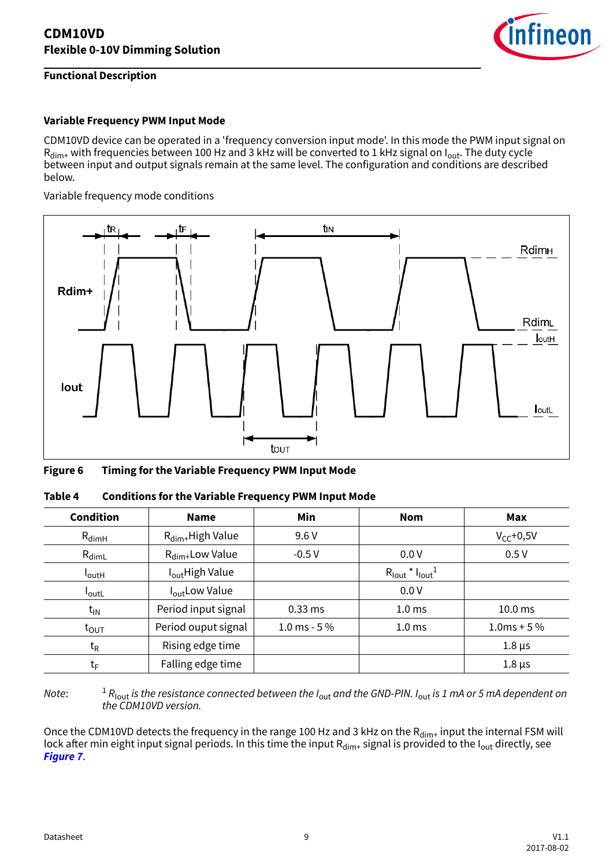

#### **Variable Frequency PWM Input Mode**

CDM10VD device can be operated in a 'frequency conversion input mode'. In this mode the PWM input signal on  $R_{\text{dim}+}$  with frequencies between 100 Hz and 3 kHz will be converted to 1 kHz signal on  $I_{\text{out}}$ . The duty cycle between input and output signals remain at the same level. The configuration and conditions are described below.

Variable frequency mode conditions



| Figure 6 | <b>Timing for the Variable Frequency PWM Input Mode</b> |  |
|----------|---------------------------------------------------------|--|
|          |                                                         |  |

| <b>Condition</b>  | <b>Name</b>                  |               | <b>Nom</b>                                                    | Max                |
|-------------------|------------------------------|---------------|---------------------------------------------------------------|--------------------|
| $R_{dimH}$        | $R_{\text{dim}+}$ High Value | 9.6V          |                                                               | $V_{CC}$ +0,5V     |
| $R_{dimL}$        | $R_{\text{dim}+}$ Low Value  | $-0.5V$       | 0.0V                                                          | 0.5V               |
| $I_{\text{outH}}$ | I <sub>out</sub> High Value  |               | $R_{\text{lout}}$ <sup>*</sup> $I_{\text{lout}}$ <sup>1</sup> |                    |
| <b>l</b> outL     | I <sub>out</sub> Low Value   |               | 0.0V                                                          |                    |
| $t_{IN}$          | Period input signal          | $0.33$ ms     | 1.0 <sub>ms</sub>                                             | 10.0 <sub>ms</sub> |
| $t_{\text{OUT}}$  | Period ouput signal          | 1.0 ms - $5%$ | 1.0 <sub>ms</sub>                                             | $1.0ms + 5\%$      |
| $t_{\mathsf{R}}$  | Rising edge time             |               |                                                               | $1.8 \,\mu s$      |
| $t_{\mathsf{F}}$  | Falling edge time            |               |                                                               | $1.8 \,\mu s$      |

| Table 4 | <b>Conditions for the Variable Frequency PWM Input Mode</b> |
|---------|-------------------------------------------------------------|
|---------|-------------------------------------------------------------|

Note:  $^1$  R<sub>lout</sub> is the resistance connected between the I<sub>out</sub> and the GND-PIN. I<sub>out</sub> is 1 mA or 5 mA dependent on the CDM10VD version.

Once the CDM10VD detects the frequency in the range 100 Hz and 3 kHz on the  $R_{\text{dim}+}$  input the internal FSM will lock after min eight input signal periods. In this time the input  $R_{\text{dim}+}$  signal is provided to the I<sub>out</sub> directly, see **[Figure 7](#page-9-0)**.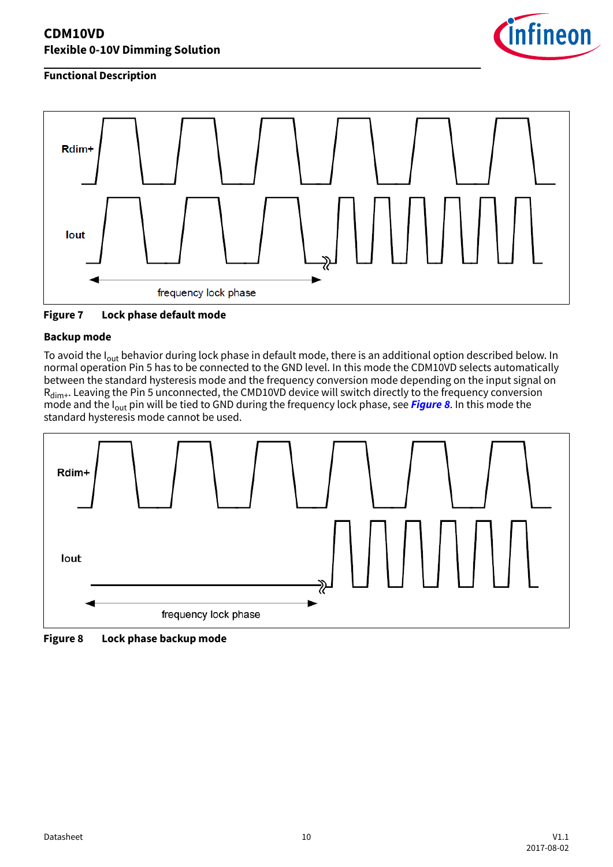

### <span id="page-9-0"></span>**Functional Description**



**Figure 7 Lock phase default mode**

### **Backup mode**

To avoid the I<sub>out</sub> behavior during lock phase in default mode, there is an additional option described below. In normal operation Pin 5 has to be connected to the GND level. In this mode the CDM10VD selects automatically between the standard hysteresis mode and the frequency conversion mode depending on the input signal on R<sub>dim+</sub>. Leaving the Pin 5 unconnected, the CMD10VD device will switch directly to the frequency conversion mode and the Iout pin will be tied to GND during the frequency lock phase, see **Figure 8**. In this mode the standard hysteresis mode cannot be used.



**Figure 8 Lock phase backup mode**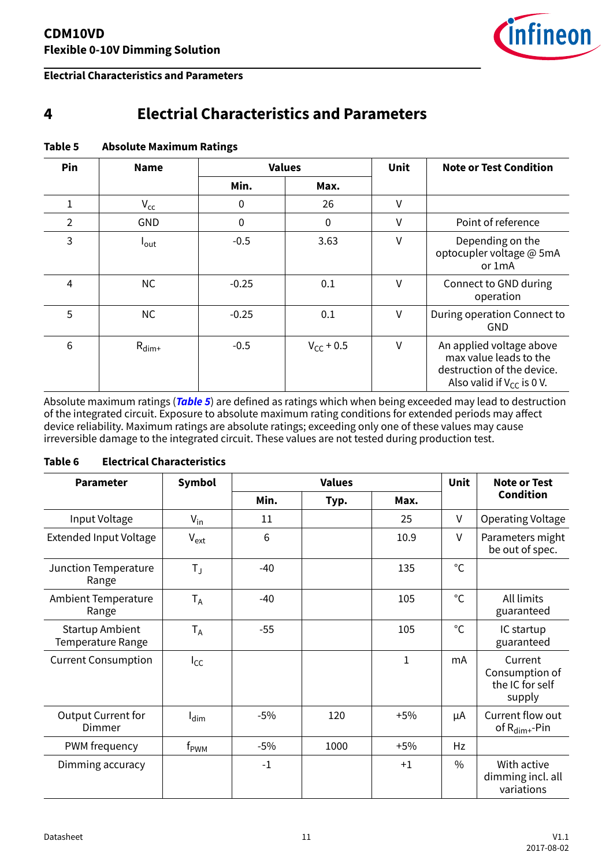

<span id="page-10-0"></span>**Electrial Characteristics and Parameters**

### **4 Electrial Characteristics and Parameters**

| Pin | <b>Name</b>       |         | <b>Values</b><br>Unit |        | <b>Note or Test Condition</b>                                                                                      |
|-----|-------------------|---------|-----------------------|--------|--------------------------------------------------------------------------------------------------------------------|
|     |                   | Min.    | Max.                  |        |                                                                                                                    |
|     | $V_{\rm cc}$      | 0       | 26                    | V      |                                                                                                                    |
| 2   | <b>GND</b>        | 0       | $\mathbf 0$           | ٧      | Point of reference                                                                                                 |
| 3   | l <sub>out</sub>  | $-0.5$  | 3.63                  | ٧      | Depending on the<br>optocupler voltage @ 5mA<br>or 1mA                                                             |
| 4   | <b>NC</b>         | $-0.25$ | 0.1                   | V      | Connect to GND during<br>operation                                                                                 |
| 5   | <b>NC</b>         | $-0.25$ | 0.1                   | V      | During operation Connect to<br>GND                                                                                 |
| 6   | $R_{\text{dim}+}$ | $-0.5$  | $V_{CC}$ + 0.5        | $\vee$ | An applied voltage above<br>max value leads to the<br>destruction of the device.<br>Also valid if $V_{CC}$ is 0 V. |

### **Table 5 Absolute Maximum Ratings**

Absolute maximum ratings (**Table 5**) are defined as ratings which when being exceeded may lead to destruction of the integrated circuit. Exposure to absolute maximum rating conditions for extended periods may affect device reliability. Maximum ratings are absolute ratings; exceeding only one of these values may cause irreversible damage to the integrated circuit. These values are not tested during production test.

#### **Table 6 Electrical Characteristics**

| <b>Parameter</b>                            | <b>Symbol</b>    |       | <b>Values</b> |              | <b>Unit</b>  | <b>Note or Test</b>                                    |
|---------------------------------------------|------------------|-------|---------------|--------------|--------------|--------------------------------------------------------|
|                                             |                  | Min.  | Typ.          | Max.         |              | <b>Condition</b>                                       |
| Input Voltage                               | $V_{in}$         | 11    |               | 25           | V            | Operating Voltage                                      |
| <b>Extended Input Voltage</b>               | $V_{ext}$        | 6     |               | 10.9         | $\vee$       | Parameters might<br>be out of spec.                    |
| Junction Temperature<br>Range               | $T_{\rm J}$      | $-40$ |               | 135          | $^{\circ}$ C |                                                        |
| <b>Ambient Temperature</b><br>Range         | $T_A$            | $-40$ |               | 105          | $^{\circ}$ C | All limits<br>guaranteed                               |
| <b>Startup Ambient</b><br>Temperature Range | $T_A$            | $-55$ |               | 105          | $^{\circ}$ C | IC startup<br>guaranteed                               |
| <b>Current Consumption</b>                  | $I_{CC}$         |       |               | $\mathbf{1}$ | mA           | Current<br>Consumption of<br>the IC for self<br>supply |
| Output Current for<br>Dimmer                | $I_{\text{dim}}$ | $-5%$ | 120           | $+5%$        | μA           | Current flow out<br>of $R_{\text{dim}+}$ -Pin          |
| PWM frequency                               | $f_{\sf PWM}$    | -5%   | 1000          | $+5%$        | Hz           |                                                        |
| Dimming accuracy                            |                  | $-1$  |               | $+1$         | $\%$         | With active<br>dimming incl. all<br>variations         |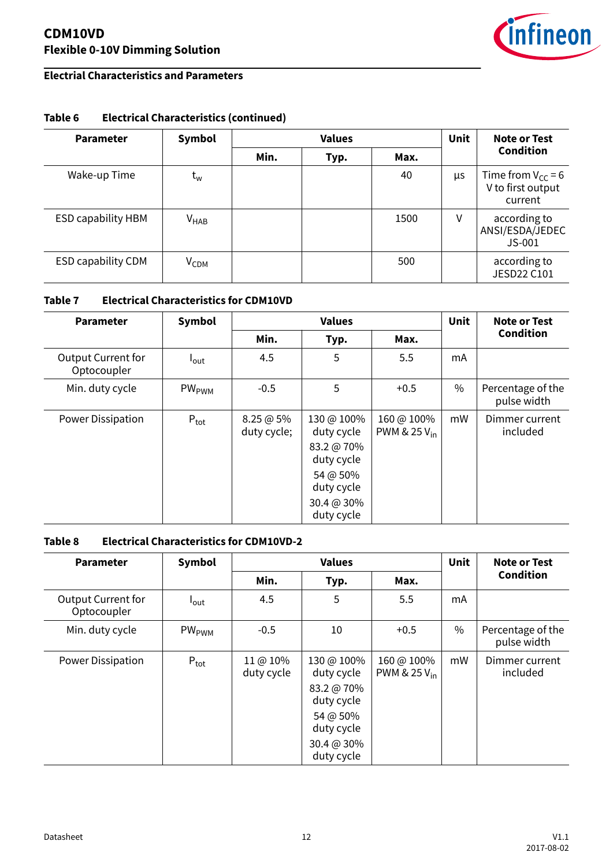

### **Electrial Characteristics and Parameters**

### **Parameter Symbol Values Unit Note or Test Condition Min. Typ. Max.** Wake-up Time t<sup>w</sup> 40 µs Time from VCC = 6 V to first output current ESD capability HBM  $V_{HAB}$   $\vert$   $V_{HAB}$   $\vert$  1500  $V$  according to ANSI/ESDA/JEDEC JS-001  $ESD$  capability CDM  $V_{CDM}$   $|$   $|$   $|$   $|$  500  $|$  according to JESD22 C101

### **Table 6 Electrical Characteristics (continued)**

### **Table 7 Electrical Characteristics for CDM10VD**

| <b>Parameter</b>                         | Symbol                  |                        | <b>Values</b>                                                                                              |                                        | <b>Unit</b>   | Note or Test                     |
|------------------------------------------|-------------------------|------------------------|------------------------------------------------------------------------------------------------------------|----------------------------------------|---------------|----------------------------------|
|                                          |                         | Min.                   | Typ.                                                                                                       | Max.                                   |               | <b>Condition</b>                 |
| <b>Output Current for</b><br>Optocoupler | $I_{\text{out}}$        | 4.5                    | 5                                                                                                          | 5.5                                    | mA            |                                  |
| Min. duty cycle                          | <b>PW<sub>PWM</sub></b> | $-0.5$                 | 5                                                                                                          | $+0.5$                                 | $\frac{0}{0}$ | Percentage of the<br>pulse width |
| <b>Power Dissipation</b>                 | $P_{\text{tot}}$        | 8.25@5%<br>duty cycle; | 130 @ 100%<br>duty cycle<br>83.2 @ 70%<br>duty cycle<br>54 @ 50%<br>duty cycle<br>30.4 @ 30%<br>duty cycle | 160 @ 100%<br>PWM & 25 V <sub>in</sub> | mW            | Dimmer current<br>included       |

### **Table 8 Electrical Characteristics for CDM10VD-2**

| <b>Parameter</b>                         | <b>Symbol</b>       | <b>Values</b>          |                          |                                        | <b>Unit</b> | Note or Test                     |
|------------------------------------------|---------------------|------------------------|--------------------------|----------------------------------------|-------------|----------------------------------|
|                                          |                     | Min.                   | Typ.                     | Max.                                   |             | <b>Condition</b>                 |
| <b>Output Current for</b><br>Optocoupler | $I_{\text{out}}$    | 4.5                    | 5                        | 5.5                                    | mA          |                                  |
| Min. duty cycle                          | $PW_{\mathrm{PWM}}$ | $-0.5$                 | 10                       | $+0.5$                                 | $\%$        | Percentage of the<br>pulse width |
| <b>Power Dissipation</b>                 | $P_{\text{tot}}$    | 11 @ 10%<br>duty cycle | 130 @ 100%<br>duty cycle | 160 @ 100%<br>PWM & 25 V <sub>in</sub> | mW          | Dimmer current<br>included       |
|                                          |                     |                        | 83.2 @ 70%<br>duty cycle |                                        |             |                                  |
|                                          |                     |                        | 54 @ 50%<br>duty cycle   |                                        |             |                                  |
|                                          |                     |                        | 30.4 @ 30%<br>duty cycle |                                        |             |                                  |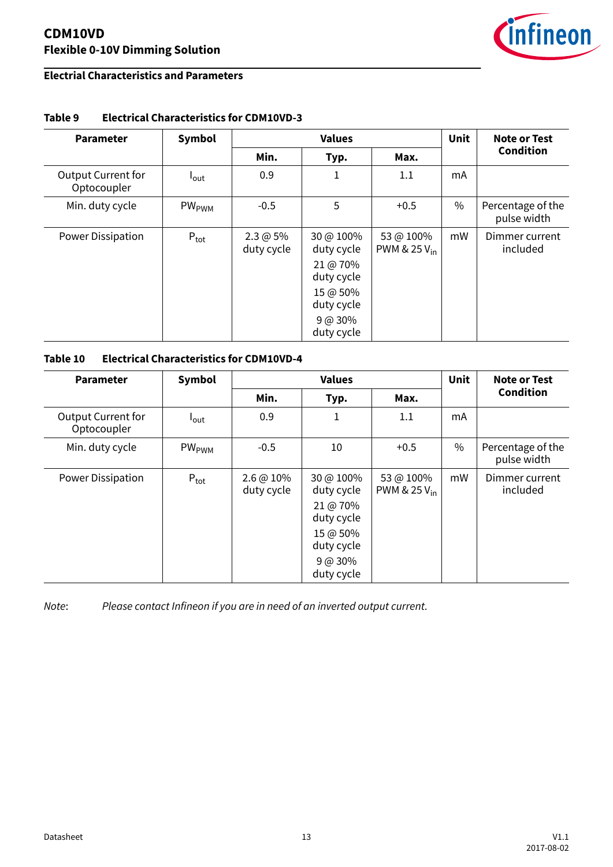

### **Electrial Characteristics and Parameters**

| <b>Parameter</b>                         | <b>Symbol</b>    | <b>Values</b>             |                                                                                                         |                                       | <b>Unit</b> | Note or Test                     |
|------------------------------------------|------------------|---------------------------|---------------------------------------------------------------------------------------------------------|---------------------------------------|-------------|----------------------------------|
|                                          |                  | Min.                      | Typ.                                                                                                    | Max.                                  |             | <b>Condition</b>                 |
| <b>Output Current for</b><br>Optocoupler | l <sub>out</sub> | 0.9                       | 1                                                                                                       | 1.1                                   | mA          |                                  |
| Min. duty cycle                          | $PW_{PWM}$       | $-0.5$                    | 5                                                                                                       | $+0.5$                                | $\%$        | Percentage of the<br>pulse width |
| Power Dissipation                        | $P_{\text{tot}}$ | $2.3 @ 5\%$<br>duty cycle | 30 @ 100%<br>duty cycle<br>21 @ 70%<br>duty cycle<br>15 @ 50%<br>duty cycle<br>$9 @ 30\%$<br>duty cycle | 53 @ 100%<br>PWM & 25 V <sub>in</sub> | mW          | Dimmer current<br>included       |

### **Table 9 Electrical Characteristics for CDM10VD-3**

### **Table 10 Electrical Characteristics for CDM10VD-4**

| <b>Parameter</b>                         | Symbol                  | <b>Values</b>                      |                                                                                                         |                                       | Unit | Note or Test                     |
|------------------------------------------|-------------------------|------------------------------------|---------------------------------------------------------------------------------------------------------|---------------------------------------|------|----------------------------------|
|                                          |                         | Min.                               | Typ.                                                                                                    | Max.                                  |      | <b>Condition</b>                 |
| <b>Output Current for</b><br>Optocoupler | $I_{\text{out}}$        | 0.9                                | 1                                                                                                       | 1.1                                   | mA   |                                  |
| Min. duty cycle                          | <b>PW<sub>PWM</sub></b> | $-0.5$                             | 10                                                                                                      | $+0.5$                                | $\%$ | Percentage of the<br>pulse width |
| <b>Power Dissipation</b>                 | $P_{\text{tot}}$        | $2.6 \, \omega 10\%$<br>duty cycle | 30 @ 100%<br>duty cycle<br>21 @ 70%<br>duty cycle<br>15 @ 50%<br>duty cycle<br>$9 @ 30\%$<br>duty cycle | 53 @ 100%<br>PWM & 25 V <sub>in</sub> | mW   | Dimmer current<br>included       |

Note: Please contact Infineon if you are in need of an inverted output current.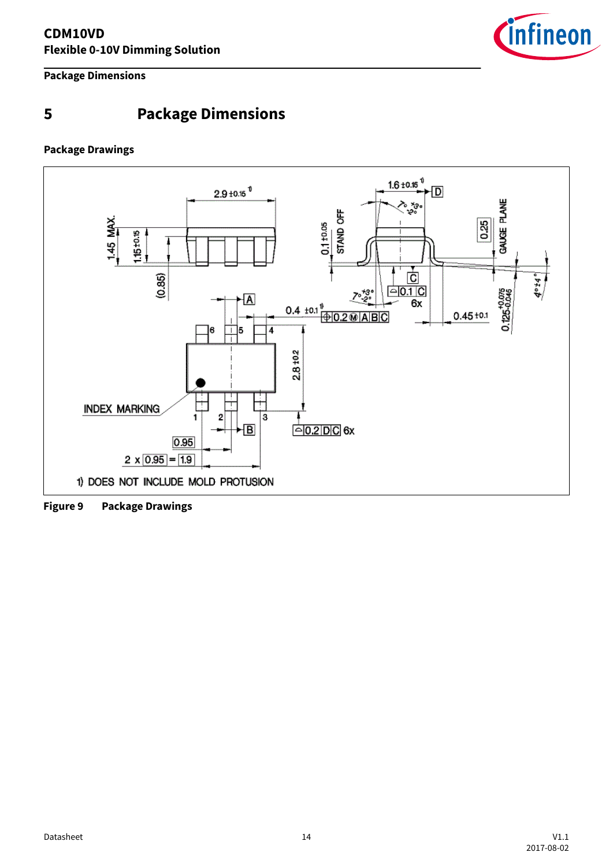

<span id="page-13-0"></span>**Package Dimensions**

### **5 Package Dimensions**

### **Package Drawings**



**Figure 9 Package Drawings**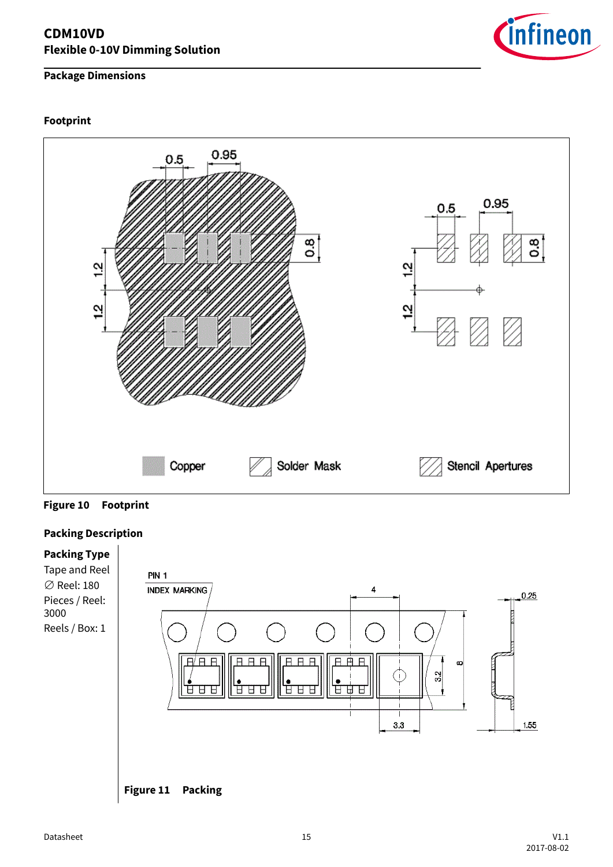### **Package Dimensions**

#### **Footprint**



**Figure 10 Footprint**

### **Packing Description**



![](_page_14_Picture_7.jpeg)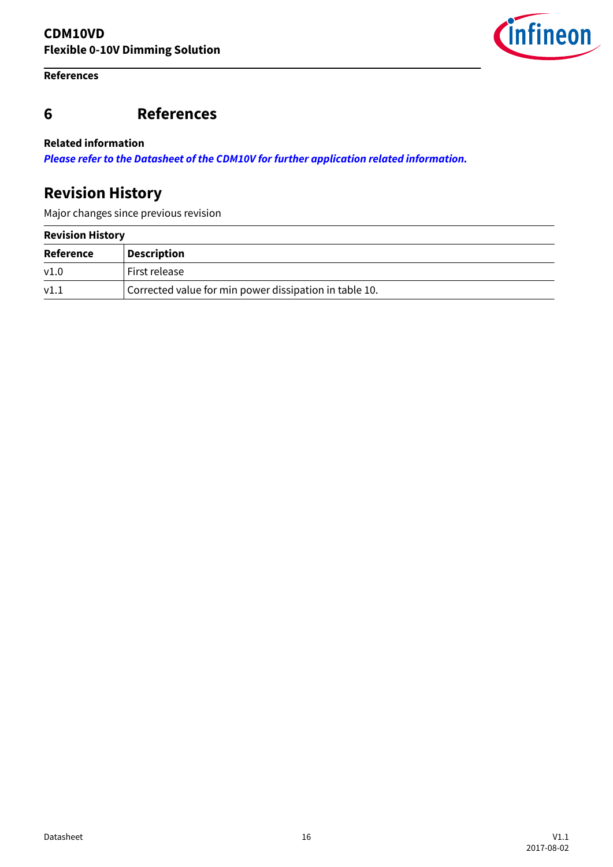### <span id="page-15-0"></span>**References**

# infineon

### **6 References**

#### **Related information**

**[Please refer to the Datasheet of the CDM10V for further application related information.](http://www.infineon.com/CDM10V)**

### **Revision History**

Major changes since previous revision

| <b>Revision History</b> |                                                        |  |  |
|-------------------------|--------------------------------------------------------|--|--|
| Reference               | <b>Description</b>                                     |  |  |
| V1.0                    | First release                                          |  |  |
| V1.1                    | Corrected value for min power dissipation in table 10. |  |  |